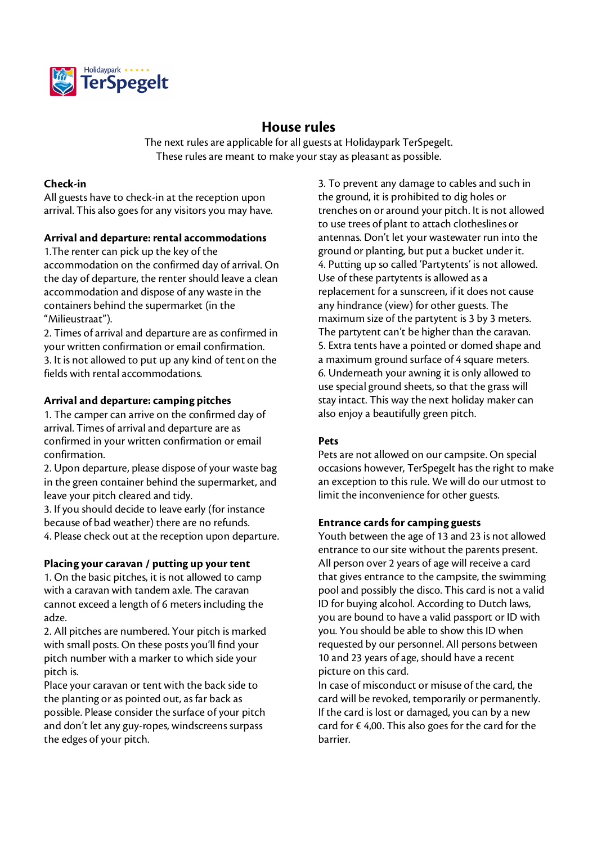

# **House rules**

The next rules are applicable for all guests at Holidaypark TerSpegelt. These rules are meant to make your stay as pleasant as possible.

#### **Check-in**

All guests have to check-in at the reception upon arrival. This also goes for any visitors you may have.

#### **Arrival and departure: rental accommodations**

1.The renter can pick up the key of the accommodation on the confirmed day of arrival. On the day of departure, the renter should leave a clean accommodation and dispose of any waste in the containers behind the supermarket (in the "Milieustraat").

2. Times of arrival and departure are as confirmed in your written confirmation or email confirmation. 3. It is not allowed to put up any kind of tent on the fields with rental accommodations.

#### **Arrival and departure: camping pitches**

1. The camper can arrive on the confirmed day of arrival. Times of arrival and departure are as confirmed in your written confirmation or email confirmation.

2. Upon departure, please dispose of your waste bag in the green container behind the supermarket, and leave your pitch cleared and tidy.

3. If you should decide to leave early (for instance because of bad weather) there are no refunds. 4. Please check out at the reception upon departure.

#### **Placing your caravan / putting up your tent**

1. On the basic pitches, it is not allowed to camp with a caravan with tandem axle. The caravan cannot exceed a length of 6 meters including the adze.

2. All pitches are numbered. Your pitch is marked with small posts. On these posts you'll find your pitch number with a marker to which side your pitch is.

Place your caravan or tent with the back side to the planting or as pointed out, as far back as possible. Please consider the surface of your pitch and don't let any guy-ropes, windscreens surpass the edges of your pitch.

3. To prevent any damage to cables and such in the ground, it is prohibited to dig holes or trenches on or around your pitch. It is not allowed to use trees of plant to attach clotheslines or antennas. Don't let your wastewater run into the ground or planting, but put a bucket under it. 4. Putting up so called 'Partytents' is not allowed. Use of these partytents is allowed as a replacement for a sunscreen, if it does not cause any hindrance (view) for other guests. The maximum size of the partytent is 3 by 3 meters. The partytent can't be higher than the caravan. 5. Extra tents have a pointed or domed shape and a maximum ground surface of 4 square meters. 6. Underneath your awning it is only allowed to use special ground sheets, so that the grass will stay intact. This way the next holiday maker can also enjoy a beautifully green pitch.

## **Pets**

Pets are not allowed on our campsite. On special occasions however, TerSpegelt has the right to make an exception to this rule. We will do our utmost to limit the inconvenience for other guests.

## **Entrance cards for camping guests**

Youth between the age of 13 and 23 is not allowed entrance to our site without the parents present. All person over 2 years of age will receive a card that gives entrance to the campsite, the swimming pool and possibly the disco. This card is not a valid ID for buying alcohol. According to Dutch laws, you are bound to have a valid passport or ID with you. You should be able to show this ID when requested by our personnel. All persons between 10 and 23 years of age, should have a recent picture on this card.

In case of misconduct or misuse of the card, the card will be revoked, temporarily or permanently. If the card is lost or damaged, you can by a new card for  $\epsilon$  4,00. This also goes for the card for the barrier.